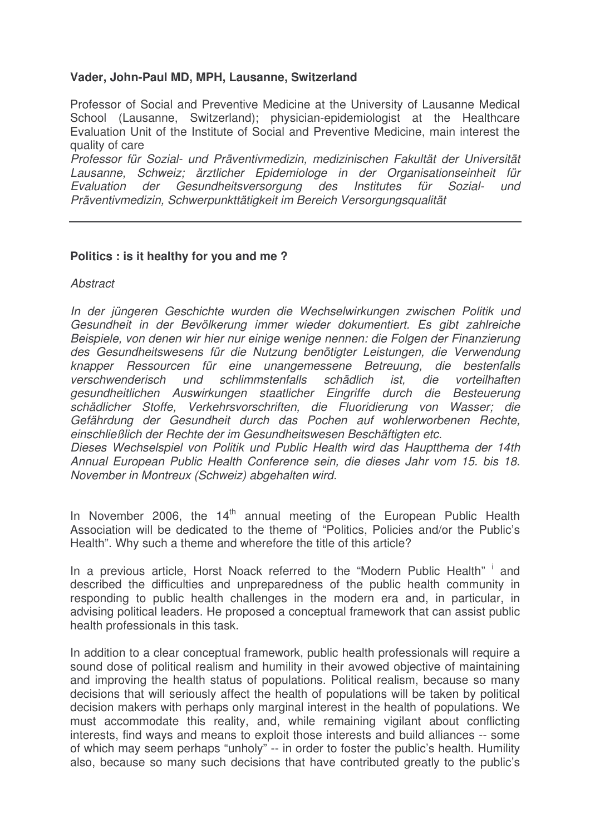# **Vader, John-Paul MD, MPH, Lausanne, Switzerland**

Professor of Social and Preventive Medicine at the University of Lausanne Medical School (Lausanne, Switzerland); physician-epidemiologist at the Healthcare Evaluation Unit of the Institute of Social and Preventive Medicine, main interest the quality of care

*Professor für Sozial- und Präventivmedizin, medizinischen Fakultät der Universität Lausanne, Schweiz; ärztlicher Epidemiologe in der Organisationseinheit für Evaluation der Gesundheitsversorgung des Institutes für Sozial- und Präventivmedizin, Schwerpunkttätigkeit im Bereich Versorgungsqualität*

### **Politics : is it healthy for you and me ?**

*Abstract*

*In der jüngeren Geschichte wurden die Wechselwirkungen zwischen Politik und Gesundheit in der Bevölkerung immer wieder dokumentiert. Es gibt zahlreiche Beispiele, von denen wir hier nur einige wenige nennen: die Folgen der Finanzierung des Gesundheitswesens für die Nutzung benötigter Leistungen, die Verwendung knapper Ressourcen für eine unangemessene Betreuung, die bestenfalls verschwenderisch und schlimmstenfalls schädlich ist, die vorteilhaften gesundheitlichen Auswirkungen staatlicher Eingriffe durch die Besteuerung schädlicher Stoffe, Verkehrsvorschriften, die Fluoridierung von Wasser; die Gefährdung der Gesundheit durch das Pochen auf wohlerworbenen Rechte, einschließlich der Rechte der im Gesundheitswesen Beschäftigten etc.*

*Dieses Wechselspiel von Politik und Public Health wird das Hauptthema der 14th Annual European Public Health Conference sein, die dieses Jahr vom 15. bis 18. November in Montreux (Schweiz) abgehalten wird.*

In November 2006, the 14<sup>th</sup> annual meeting of the European Public Health Association will be dedicated to the theme of "Politics, Policies and/or the Public's Health". Why such a theme and wherefore the title of this article?

In a previous article, Horst Noack referred to the "Modern Public Health" i and described the difficulties and unpreparedness of the public health community in responding to public health challenges in the modern era and, in particular, in advising political leaders. He proposed a conceptual framework that can assist public health professionals in this task.

In addition to a clear conceptual framework, public health professionals will require a sound dose of political realism and humility in their avowed objective of maintaining and improving the health status of populations. Political realism, because so many decisions that will seriously affect the health of populations will be taken by political decision makers with perhaps only marginal interest in the health of populations. We must accommodate this reality, and, while remaining vigilant about conflicting interests, find ways and means to exploit those interests and build alliances -- some of which may seem perhaps "unholy" -- in order to foster the public's health. Humility also, because so many such decisions that have contributed greatly to the public's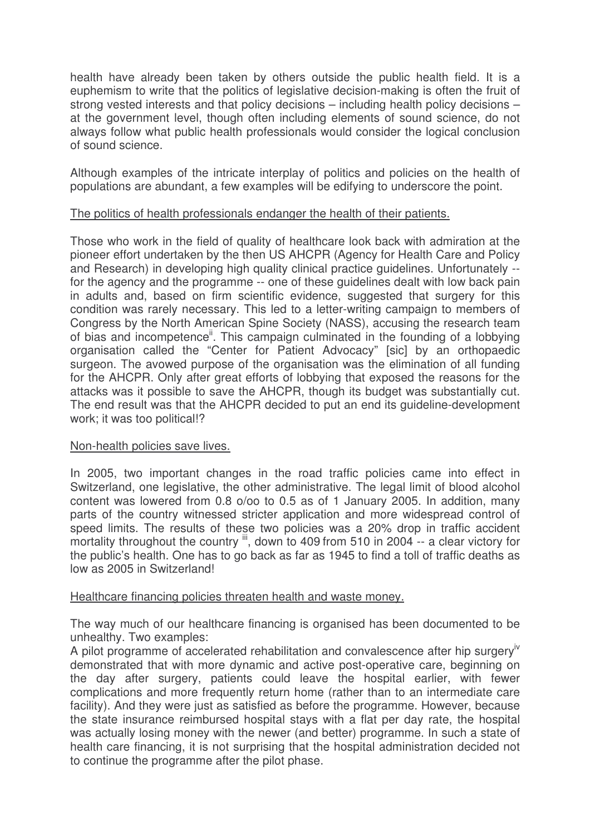health have already been taken by others outside the public health field. It is a euphemism to write that the politics of legislative decision-making is often the fruit of strong vested interests and that policy decisions – including health policy decisions – at the government level, though often including elements of sound science, do not always follow what public health professionals would consider the logical conclusion of sound science.

Although examples of the intricate interplay of politics and policies on the health of populations are abundant, a few examples will be edifying to underscore the point.

# The politics of health professionals endanger the health of their patients.

Those who work in the field of quality of healthcare look back with admiration at the pioneer effort undertaken by the then US AHCPR (Agency for Health Care and Policy and Research) in developing high quality clinical practice guidelines. Unfortunately - for the agency and the programme -- one of these guidelines dealt with low back pain in adults and, based on firm scientific evidence, suggested that surgery for this condition was rarely necessary. This led to a letter-writing campaign to members of Congress by the North American Spine Society (NASS), accusing the research team of bias and incompetence<sup>"</sup>. This campaign culminated in the founding of a lobbying organisation called the "Center for Patient Advocacy" [sic] by an orthopaedic surgeon. The avowed purpose of the organisation was the elimination of all funding for the AHCPR. Only after great efforts of lobbying that exposed the reasons for the attacks was it possible to save the AHCPR, though its budget was substantially cut. The end result was that the AHCPR decided to put an end its guideline-development work; it was too political!?

### Non-health policies save lives.

In 2005, two important changes in the road traffic policies came into effect in Switzerland, one legislative, the other administrative. The legal limit of blood alcohol content was lowered from 0.8 o/oo to 0.5 as of 1 January 2005. In addition, many parts of the country witnessed stricter application and more widespread control of speed limits. The results of these two policies was a 20% drop in traffic accident mortality throughout the country iii, down to 409 from 510 in 2004 -- a clear victory for the public's health. One has to go back as far as 1945 to find a toll of traffic deaths as low as 2005 in Switzerland!

### Healthcare financing policies threaten health and waste money.

The way much of our healthcare financing is organised has been documented to be unhealthy. Two examples:

A pilot programme of accelerated rehabilitation and convalescence after hip surgery<sup>iv</sup> demonstrated that with more dynamic and active post-operative care, beginning on the day after surgery, patients could leave the hospital earlier, with fewer complications and more frequently return home (rather than to an intermediate care facility). And they were just as satisfied as before the programme. However, because the state insurance reimbursed hospital stays with a flat per day rate, the hospital was actually losing money with the newer (and better) programme. In such a state of health care financing, it is not surprising that the hospital administration decided not to continue the programme after the pilot phase.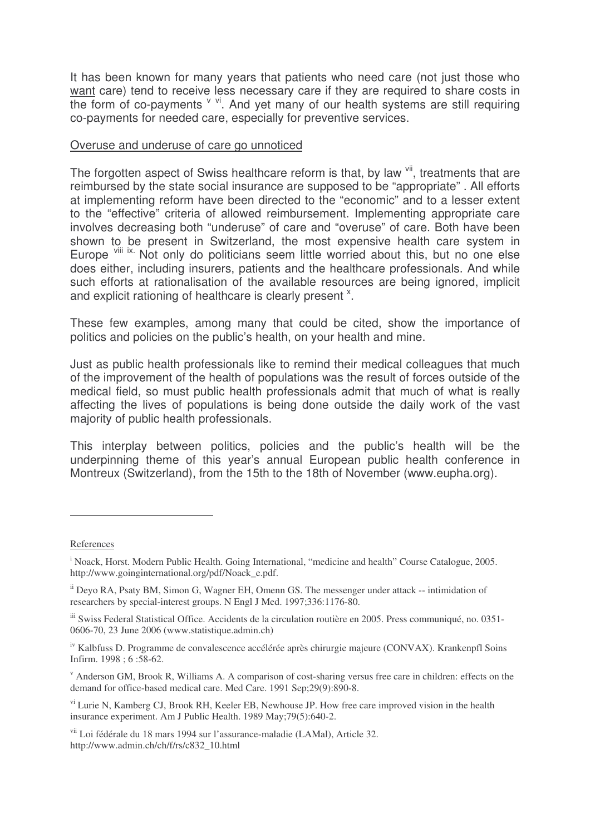It has been known for many years that patients who need care (not just those who want care) tend to receive less necessary care if they are required to share costs in the form of co-payments v vi. And yet many of our health systems are still requiring co-payments for needed care, especially for preventive services.

#### Overuse and underuse of care go unnoticed

The forgotten aspect of Swiss healthcare reform is that, by law vil, treatments that are reimbursed by the state social insurance are supposed to be "appropriate" . All efforts at implementing reform have been directed to the "economic" and to a lesser extent to the "effective" criteria of allowed reimbursement. Implementing appropriate care involves decreasing both "underuse" of care and "overuse" of care. Both have been shown to be present in Switzerland, the most expensive health care system in Europe vill ix. Not only do politicians seem little worried about this, but no one else does either, including insurers, patients and the healthcare professionals. And while such efforts at rationalisation of the available resources are being ignored, implicit and explicit rationing of healthcare is clearly present  $x$ .

These few examples, among many that could be cited, show the importance of politics and policies on the public's health, on your health and mine.

Just as public health professionals like to remind their medical colleagues that much of the improvement of the health of populations was the result of forces outside of the medical field, so must public health professionals admit that much of what is really affecting the lives of populations is being done outside the daily work of the vast majority of public health professionals.

This interplay between politics, policies and the public's health will be the underpinning theme of this year's annual European public health conference in Montreux (Switzerland), from the 15th to the 18th of November (www.eupha.org).

References

<sup>&</sup>lt;sup>i</sup> Noack, Horst. Modern Public Health. Going International, "medicine and health" Course Catalogue, 2005. http://www.goinginternational.org/pdf/Noack\_e.pdf.

ii Deyo RA, Psaty BM, Simon G, Wagner EH, Omenn GS. The messenger under attack -- intimidation of researchers by special-interest groups. N Engl J Med. 1997;336:1176-80.

iii Swiss Federal Statistical Office. Accidents de la circulation routière en 2005. Press communiqué, no. 0351-0606-70, 23 June 2006 (www.statistique.admin.ch)

<sup>&</sup>lt;sup>iv</sup> Kalbfuss D. Programme de convalescence accélérée après chirurgie majeure (CONVAX). Krankenpfl Soins Infirm. 1998 ; 6 :58-62.

<sup>v</sup> Anderson GM, Brook R, Williams A. A comparison of cost-sharing versus free care in children: effects on the demand for office-based medical care. Med Care. 1991 Sep;29(9):890-8.

<sup>&</sup>lt;sup>vi</sup> Lurie N, Kamberg CJ, Brook RH, Keeler EB, Newhouse JP. How free care improved vision in the health insurance experiment. Am J Public Health. 1989 May;79(5):640-2.

vii Loi fédérale du 18 mars 1994 sur l'assurance-maladie (LAMal), Article 32. http://www.admin.ch/ch/f/rs/c832\_10.html